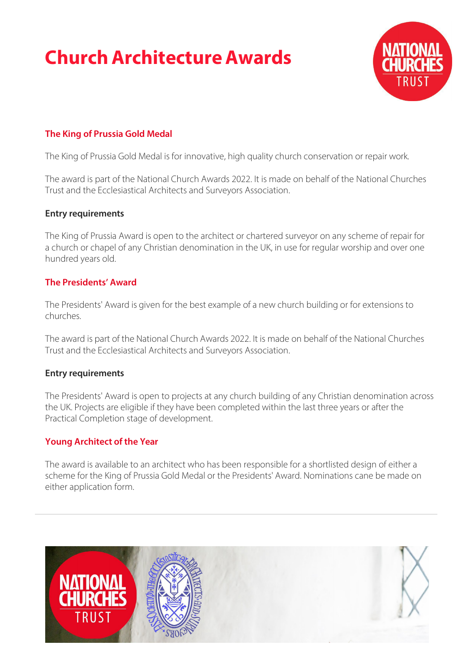# **Church Architecture Awards**



# **The King of Prussia Gold Medal**

The King of Prussia Gold Medal is for innovative, high quality church conservation or repair work.

The award is part of the National Church Awards 2022. It is made on behalf of the National Churches Trust and the Ecclesiastical Architects and Surveyors Association.

#### **Entry requirements**

The King of Prussia Award is open to the architect or chartered surveyor on any scheme of repair for a church or chapel of any Christian denomination in the UK, in use for regular worship and over one hundred years old.

## **The Presidents' Award**

The Presidents' Award is given for the best example of a new church building or for extensions to churches.

The award is part of the National Church Awards 2022. It is made on behalf of the National Churches Trust and the Ecclesiastical Architects and Surveyors Association.

#### **Entry requirements**

The Presidents' Award is open to projects at any church building of any Christian denomination across the UK. Projects are eligible if they have been completed within the last three years or after the Practical Completion stage of development.

#### **Young Architect of the Year**

The award is available to an architect who has been responsible for a shortlisted design of either a scheme for the King of Prussia Gold Medal or the Presidents' Award. Nominations cane be made on either application form.

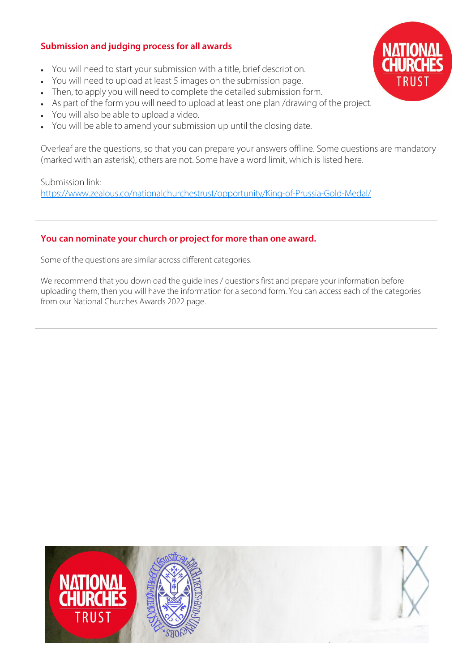# **Submission and judging process for all awards**

- You will need to start your submission with a title, brief description.
- You will need to upload at least 5 images on the submission page.
- Then, to apply you will need to complete the detailed submission form.
- As part of the form you will need to upload at least one plan /drawing of the project.
- You will also be able to upload a video.
- You will be able to amend your submission up until the closing date.

Overleaf are the questions, so that you can prepare your answers offline. Some questions are mandatory (marked with an asterisk), others are not. Some have a word limit, which is listed here.

Submission link: <https://www.zealous.co/nationalchurchestrust/opportunity/King-of-Prussia-Gold-Medal/>

## **You can nominate your church or project for more than one award.**

Some of the questions are similar across different categories.

We recommend that you download the guidelines / questions first and prepare your information before uploading them, then you will have the information for a second form. You can access each of the categories from our National Churches Awards 2022 page.